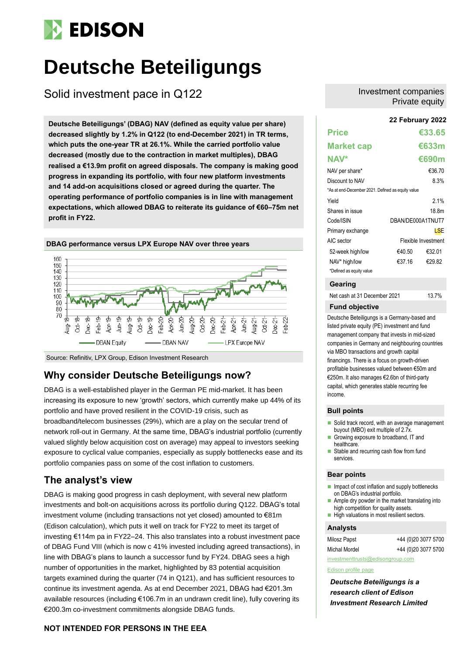## **EDISON**

# **Deutsche Beteiligungs**

Solid investment pace in Q122

**22 February 2022 Deutsche Beteiligungs' (DBAG) NAV (defined as equity value per share) decreased slightly by 1.2% in Q122 (to end-December 2021) in TR terms, which puts the one-year TR at 26.1%. While the carried portfolio value decreased (mostly due to the contraction in market multiples), DBAG realised a €13.9m profit on agreed disposals. The company is making good progress in expanding its portfolio, with four new platform investments and 14 add-on acquisitions closed or agreed during the quarter. The operating performance of portfolio companies is in line with management expectations, which allowed DBAG to reiterate its guidance of €60–75m net profit in FY22.**



### Source: Refinitiv, LPX Group, Edison Investment Research

### **Why consider Deutsche Beteiligungs now?**

DBAG is a well-established player in the German PE mid-market. It has been increasing its exposure to new 'growth' sectors, which currently make up 44% of its portfolio and have proved resilient in the COVID-19 crisis, such as broadband/telecom businesses (29%), which are a play on the secular trend of network roll-out in Germany. At the same time, DBAG's industrial portfolio (currently valued slightly below acquisition cost on average) may appeal to investors seeking exposure to cyclical value companies, especially as supply bottlenecks ease and its portfolio companies pass on some of the cost inflation to customers.

### **The analyst's view**

DBAG is making good progress in cash deployment, with several new platform investments and bolt-on acquisitions across its portfolio during Q122. DBAG's total investment volume (including transactions not yet closed) amounted to €81m (Edison calculation), which puts it well on track for FY22 to meet its target of investing €114m pa in FY22–24. This also translates into a robust investment pace of DBAG Fund VIII (which is now c 41% invested including agreed transactions), in line with DBAG's plans to launch a successor fund by FY24. DBAG sees a high number of opportunities in the market, highlighted by 83 potential acquisition targets examined during the quarter (74 in Q121), and has sufficient resources to continue its investment agenda. As at end December 2021, DBAG had €201.3m available resources (including €106.7m in an undrawn credit line), fully covering its €200.3m co-investment commitments alongside DBAG funds.

### **NOT INTENDED FOR PERSONS IN THE EEA**

### Investment companies Private equity

| <b>Price</b>                                      |                   | €33.65              |
|---------------------------------------------------|-------------------|---------------------|
| <b>Market cap</b>                                 |                   | €633m               |
| NAV*                                              |                   | €690m               |
| NAV per share*                                    |                   | €36.70              |
| Discount to NAV                                   |                   | 8.3%                |
| *As at end-December 2021. Defined as equity value |                   |                     |
| Yield                                             |                   | 2.1%                |
| Shares in issue                                   |                   | 18 8m               |
| Code/ISIN                                         | DBAN/DE000A1TNUT7 |                     |
| Primary exchange                                  |                   | LSE                 |
| AIC sector                                        |                   | Flexible Investment |
| 52-week high/low                                  | €40.50            | €32.01              |
| NAV* high/low                                     | €37.16            | €29.82              |
| *Defined as equity value                          |                   |                     |

### **Gearing**

Net cash at 31 December 2021 13.7%

### **Fund objective**

Deutsche Beteiligungs is a Germany-based and listed private equity (PE) investment and fund management company that invests in mid-sized companies in Germany and neighbouring countries via MBO transactions and growth capital financings. There is a focus on growth-driven profitable businesses valued between €50m and €250m. It also manages €2.6bn of third-party capital, which generates stable recurring fee income.

### **Bull points**

- Solid track record, with an average management buyout (MBO) exit multiple of 2.7x. ■ Growing exposure to broadband, IT and
- healthcare.
- Stable and recurring cash flow from fund services.

### **Bear points**

- Impact of cost inflation and supply bottlenecks on DBAG's industrial portfolio.
- $\blacksquare$  Ample dry powder in the market translating into high competition for quality assets.
- High valuations in most resilient sectors.

### **Analysts**

| Milosz Papst  | +44 (0)20 3077 5700 |
|---------------|---------------------|
| Michal Mordel | +44 (0)20 3077 5700 |

[investmenttrusts@edisongroup.com](mailto:investmenttrusts@edisongroup.com)

### [Edison profile page](https://www.edisongroup.com/company/deutsche-beteiligungs/)

*Deutsche Beteiligungs is a research client of Edison Investment Research Limited*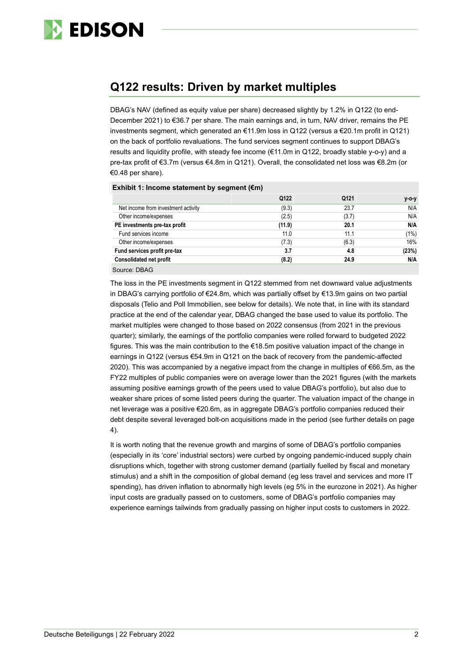

### **Q122 results: Driven by market multiples**

DBAG's NAV (defined as equity value per share) decreased slightly by 1.2% in Q122 (to end-December 2021) to €36.7 per share. The main earnings and, in turn, NAV driver, remains the PE investments segment, which generated an €11.9m loss in Q122 (versus a €20.1m profit in Q121) on the back of portfolio revaluations. The fund services segment continues to support DBAG's results and liquidity profile, with steady fee income (€11.0m in Q122, broadly stable y-o-y) and a pre-tax profit of €3.7m (versus €4.8m in Q121). Overall, the consolidated net loss was €8.2m (or €0.48 per share).

| Exhibit 1: Income statement by segment ( $\epsilon$ m) |        |       |       |  |  |  |  |
|--------------------------------------------------------|--------|-------|-------|--|--|--|--|
|                                                        | Q122   | Q121  | у-о-у |  |  |  |  |
| Net income from investment activity                    | (9.3)  | 23.7  | N/A   |  |  |  |  |
| Other income/expenses                                  | (2.5)  | (3.7) | N/A   |  |  |  |  |
| PE investments pre-tax profit                          | (11.9) | 20.1  | N/A   |  |  |  |  |
| Fund services income                                   | 11.0   | 11.1  | (1%)  |  |  |  |  |
| Other income/expenses                                  | (7.3)  | (6.3) | 16%   |  |  |  |  |
| Fund services profit pre-tax                           | 3.7    | 4.8   | (23%) |  |  |  |  |
| <b>Consolidated net profit</b>                         | (8.2)  | 24.9  | N/A   |  |  |  |  |
| Source: DBAG                                           |        |       |       |  |  |  |  |

The loss in the PE investments segment in Q122 stemmed from net downward value adjustments in DBAG's carrying portfolio of €24.8m, which was partially offset by €13.9m gains on two partial disposals (Telio and Poll Immobilien, see below for details). We note that, in line with its standard practice at the end of the calendar year, DBAG changed the base used to value its portfolio. The market multiples were changed to those based on 2022 consensus (from 2021 in the previous quarter); similarly, the earnings of the portfolio companies were rolled forward to budgeted 2022 figures. This was the main contribution to the €18.5m positive valuation impact of the change in earnings in Q122 (versus €54.9m in Q121 on the back of recovery from the pandemic-affected 2020). This was accompanied by a negative impact from the change in multiples of €66.5m, as the FY22 multiples of public companies were on average lower than the 2021 figures (with the markets assuming positive earnings growth of the peers used to value DBAG's portfolio), but also due to weaker share prices of some listed peers during the quarter. The valuation impact of the change in net leverage was a positive €20.6m, as in aggregate DBAG's portfolio companies reduced their debt despite several leveraged bolt-on acquisitions made in the period (see further details on page 4).

It is worth noting that the revenue growth and margins of some of DBAG's portfolio companies (especially in its 'core' industrial sectors) were curbed by ongoing pandemic-induced supply chain disruptions which, together with strong customer demand (partially fuelled by fiscal and monetary stimulus) and a shift in the composition of global demand (eg less travel and services and more IT spending), has driven inflation to abnormally high levels (eg 5% in the eurozone in 2021). As higher input costs are gradually passed on to customers, some of DBAG's portfolio companies may experience earnings tailwinds from gradually passing on higher input costs to customers in 2022.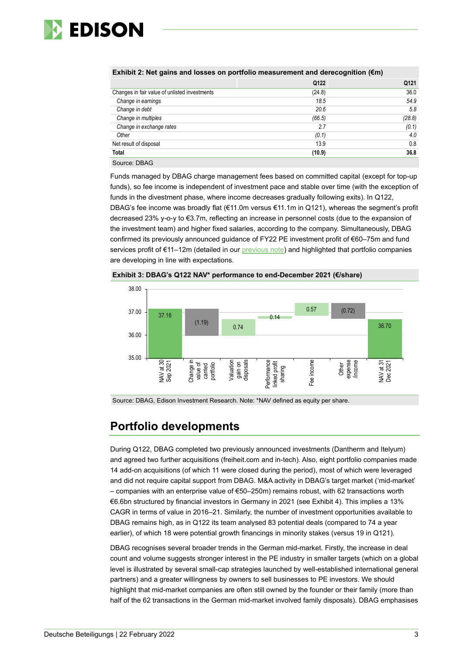

| <u>LAINDIL 2. NGC YANIS ANU 103363 VII POLUONO MGASULGINGIN ANU UGIGCOYNINUM (CNI)</u> |        |        |  |  |  |
|----------------------------------------------------------------------------------------|--------|--------|--|--|--|
|                                                                                        | Q122   | Q121   |  |  |  |
| Changes in fair value of unlisted investments                                          | (24.8) | 36.0   |  |  |  |
| Change in earnings                                                                     | 18.5   | 54.9   |  |  |  |
| Change in debt                                                                         | 20.6   | 5.8    |  |  |  |
| Change in multiples                                                                    | (66.5) | (28.8) |  |  |  |
| Change in exchange rates                                                               | 2.7    | (0.1)  |  |  |  |
| Other                                                                                  | (0.1)  | 4.0    |  |  |  |
| Net result of disposal                                                                 | 13.9   | 0.8    |  |  |  |
| <b>Total</b>                                                                           | (10.9) | 36.8   |  |  |  |
| Source: DBAG                                                                           |        |        |  |  |  |

**Exhibit 2: Net gains and losses on portfolio measurement and derecognition (€m)**

Funds managed by DBAG charge management fees based on committed capital (except for top-up funds), so fee income is independent of investment pace and stable over time (with the exception of funds in the divestment phase, where income decreases gradually following exits). In Q122, DBAG's fee income was broadly flat (€11.0m versus €11.1m in Q121), whereas the segment's profit decreased 23% y-o-y to €3.7m, reflecting an increase in personnel costs (due to the expansion of the investment team) and higher fixed salaries, according to the company. Simultaneously, DBAG confirmed its previously announced guidance of FY22 PE investment profit of €60–75m and fund services profit of €11-12m (detailed in our [previous note\)](https://www.edisongroup.com/publication/targeting-a-10-aum-and-nav-cagr-to-fy24/30347/) and highlighted that portfolio companies are developing in line with expectations.





Source: DBAG, Edison Investment Research. Note: \*NAV defined as equity per share.

### **Portfolio developments**

During Q122, DBAG completed two previously announced investments (Dantherm and Itelyum) and agreed two further acquisitions (freiheit.com and in-tech). Also, eight portfolio companies made 14 add-on acquisitions (of which 11 were closed during the period), most of which were leveraged and did not require capital support from DBAG. M&A activity in DBAG's target market ('mid-market' – companies with an enterprise value of €50–250m) remains robust, with 62 transactions worth €6.6bn structured by financial investors in Germany in 2021 (see Exhibit 4). This implies a 13% CAGR in terms of value in 2016–21. Similarly, the number of investment opportunities available to DBAG remains high, as in Q122 its team analysed 83 potential deals (compared to 74 a year earlier), of which 18 were potential growth financings in minority stakes (versus 19 in Q121).

DBAG recognises several broader trends in the German mid-market. Firstly, the increase in deal count and volume suggests stronger interest in the PE industry in smaller targets (which on a global level is illustrated by several small-cap strategies launched by well-established international general partners) and a greater willingness by owners to sell businesses to PE investors. We should highlight that mid-market companies are often still owned by the founder or their family (more than half of the 62 transactions in the German mid-market involved family disposals). DBAG emphasises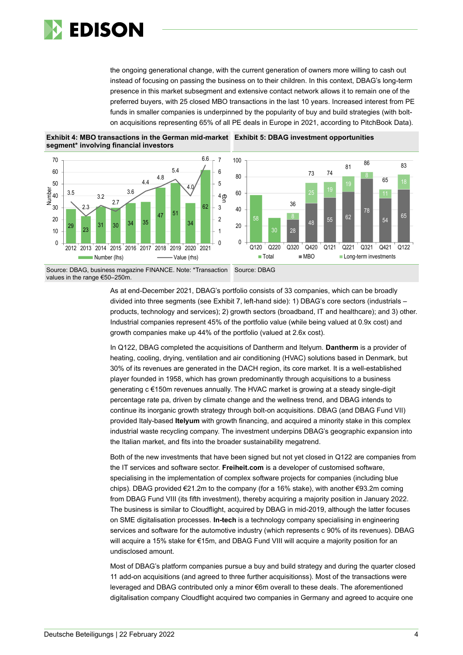

the ongoing generational change, with the current generation of owners more willing to cash out instead of focusing on passing the business on to their children. In this context, DBAG's long-term presence in this market subsegment and extensive contact network allows it to remain one of the preferred buyers, with 25 closed MBO transactions in the last 10 years. Increased interest from PE funds in smaller companies is underpinned by the popularity of buy and build strategies (with bolton acquisitions representing 65% of all PE deals in Europe in 2021, according to PitchBook Data).







Source: DBAG, business magazine FINANCE. Note: \*Transaction values in the range €50–250m. Source: DBAG

> As at end-December 2021, DBAG's portfolio consists of 33 companies, which can be broadly divided into three segments (see Exhibit 7, left-hand side): 1) DBAG's core sectors (industrials – products, technology and services); 2) growth sectors (broadband, IT and healthcare); and 3) other. Industrial companies represent 45% of the portfolio value (while being valued at 0.9x cost) and growth companies make up 44% of the portfolio (valued at 2.6x cost).

In Q122, DBAG completed the acquisitions of Dantherm and Itelyum. **Dantherm** is a provider of heating, cooling, drying, ventilation and air conditioning (HVAC) solutions based in Denmark, but 30% of its revenues are generated in the DACH region, its core market. It is a well-established player founded in 1958, which has grown predominantly through acquisitions to a business generating c €150m revenues annually. The HVAC market is growing at a steady single-digit percentage rate pa, driven by climate change and the wellness trend, and DBAG intends to continue its inorganic growth strategy through bolt-on acquisitions. DBAG (and DBAG Fund VII) provided Italy-based **Itelyum** with growth financing, and acquired a minority stake in this complex industrial waste recycling company. The investment underpins DBAG's geographic expansion into the Italian market, and fits into the broader sustainability megatrend.

Both of the new investments that have been signed but not yet closed in Q122 are companies from the IT services and software sector. **Freiheit.com** is a developer of customised software, specialising in the implementation of complex software projects for companies (including blue chips). DBAG provided €21.2m to the company (for a 16% stake), with another €93.2m coming from DBAG Fund VIII (its fifth investment), thereby acquiring a majority position in January 2022. The business is similar to Cloudflight, acquired by DBAG in mid-2019, although the latter focuses on SME digitalisation processes. **In-tech** is a technology company specialising in engineering services and software for the automotive industry (which represents c 90% of its revenues). DBAG will acquire a 15% stake for €15m, and DBAG Fund VIII will acquire a majority position for an undisclosed amount.

Most of DBAG's platform companies pursue a buy and build strategy and during the quarter closed 11 add-on acquisitions (and agreed to three further acquisitionss). Most of the transactions were leveraged and DBAG contributed only a minor €6m overall to these deals. The aforementioned digitalisation company Cloudflight acquired two companies in Germany and agreed to acquire one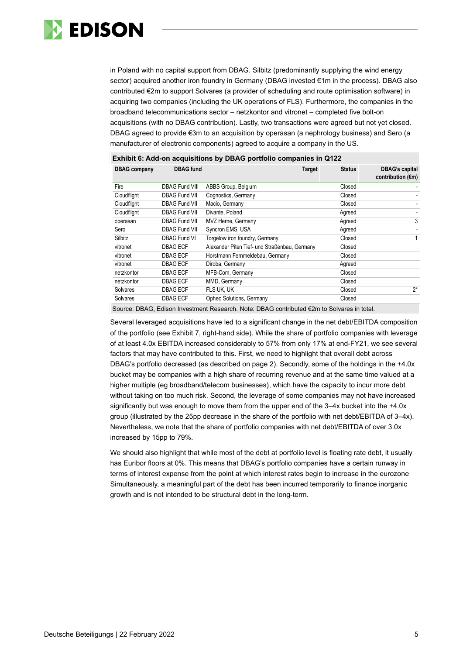

in Poland with no capital support from DBAG. Silbitz (predominantly supplying the wind energy sector) acquired another iron foundry in Germany (DBAG invested €1m in the process). DBAG also contributed €2m to support Solvares (a provider of scheduling and route optimisation software) in acquiring two companies (including the UK operations of FLS). Furthermore, the companies in the broadband telecommunications sector – netzkontor and vitronet – completed five bolt-on acquisitions (with no DBAG contribution). Lastly, two transactions were agreed but not yet closed. DBAG agreed to provide €3m to an acquisition by operasan (a nephrology business) and Sero (a manufacturer of electronic components) agreed to acquire a company in the US.

| <b>DBAG</b> company | <b>DBAG</b> fund      | <b>Target</b>                                 | <b>Status</b> | <b>DBAG's capital</b><br>contribution $(\epsilon m)$ |
|---------------------|-----------------------|-----------------------------------------------|---------------|------------------------------------------------------|
| Fire                | <b>DBAG Fund VIII</b> | ABBS Group, Belgium                           | Closed        |                                                      |
| Cloudflight         | <b>DBAG Fund VII</b>  | Cognostics, Germany                           | Closed        |                                                      |
| Cloudflight         | <b>DBAG Fund VII</b>  | Macio, Germany                                | Closed        |                                                      |
| Cloudflight         | <b>DBAG Fund VII</b>  | Divante, Poland                               | Agreed        |                                                      |
| operasan            | <b>DBAG Fund VII</b>  | MVZ Herne, Germany                            | Agreed        | 3                                                    |
| Sero                | <b>DBAG Fund VII</b>  | Syncron EMS, USA                              | Agreed        |                                                      |
| Silbitz             | <b>DBAG Fund VI</b>   | Torgelow iron foundry, Germany                | Closed        |                                                      |
| vitronet            | <b>DBAG ECF</b>       | Alexander Piten Tief- und Straßenbau, Germany | Closed        |                                                      |
| vitronet            | <b>DBAG ECF</b>       | Horstmann Fernmeldebau, Germany               | Closed        |                                                      |
| vitronet            | <b>DBAG ECF</b>       | Diroba, Germany                               | Agreed        |                                                      |
| netzkontor          | <b>DBAG ECF</b>       | MFB-Com, Germany                              | Closed        |                                                      |
| netzkontor          | <b>DBAG ECF</b>       | MMD, Germany                                  | Closed        |                                                      |
| Solvares            | <b>DBAG ECF</b>       | FLS UK. UK                                    | Closed        | $2^*$                                                |
| Solvares            | <b>DBAG ECF</b>       | Opheo Solutions, Germany                      | Closed        |                                                      |

### **Exhibit 6: Add-on acquisitions by DBAG portfolio companies in Q122**

Source: DBAG, Edison Investment Research. Note: DBAG contributed €2m to Solvares in total.

Several leveraged acquisitions have led to a significant change in the net debt/EBITDA composition of the portfolio (see Exhibit 7, right-hand side). While the share of portfolio companies with leverage of at least 4.0x EBITDA increased considerably to 57% from only 17% at end-FY21, we see several factors that may have contributed to this. First, we need to highlight that overall debt across DBAG's portfolio decreased (as described on page 2). Secondly, some of the holdings in the +4.0x bucket may be companies with a high share of recurring revenue and at the same time valued at a higher multiple (eg broadband/telecom businesses), which have the capacity to incur more debt without taking on too much risk. Second, the leverage of some companies may not have increased significantly but was enough to move them from the upper end of the 3–4x bucket into the +4.0x group (illustrated by the 25pp decrease in the share of the portfolio with net debt/EBITDA of 3–4x). Nevertheless, we note that the share of portfolio companies with net debt/EBITDA of over 3.0x increased by 15pp to 79%.

We should also highlight that while most of the debt at portfolio level is floating rate debt, it usually has Euribor floors at 0%. This means that DBAG's portfolio companies have a certain runway in terms of interest expense from the point at which interest rates begin to increase in the eurozone Simultaneously, a meaningful part of the debt has been incurred temporarily to finance inorganic growth and is not intended to be structural debt in the long-term.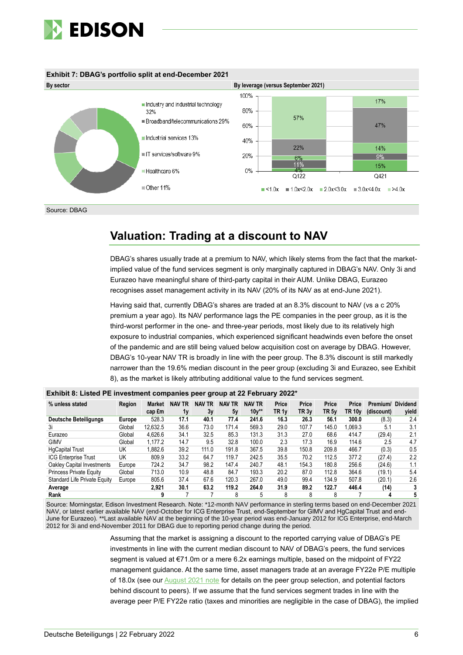

### **Exhibit 7: DBAG's portfolio split at end-December 2021**



Source: DBAG

## **Valuation: Trading at a discount to NAV**

DBAG's shares usually trade at a premium to NAV, which likely stems from the fact that the marketimplied value of the fund services segment is only marginally captured in DBAG's NAV. Only 3i and Eurazeo have meaningful share of third-party capital in their AUM. Unlike DBAG, Eurazeo recognises asset management activity in its NAV (20% of its NAV as at end-June 2021).

Having said that, currently DBAG's shares are traded at an 8.3% discount to NAV (vs a c 20% premium a year ago). Its NAV performance lags the PE companies in the peer group, as it is the third-worst performer in the one- and three-year periods, most likely due to its relatively high exposure to industrial companies, which experienced significant headwinds even before the onset of the pandemic and are still being valued below acquisition cost on average by DBAG. However, DBAG's 10-year NAV TR is broadly in line with the peer group. The 8.3% discount is still markedly narrower than the 19.6% median discount in the peer group (excluding 3i and Eurazeo, see Exhibit 8), as the market is likely attributing additional value to the fund services segment.

|                                |        |          |                  |               |               |               | -                |                  |                  |                    |            |                 |
|--------------------------------|--------|----------|------------------|---------------|---------------|---------------|------------------|------------------|------------------|--------------------|------------|-----------------|
| % unless stated                | Region | Market   | <b>NAV</b><br>TR | <b>NAV TR</b> | <b>NAV TR</b> | <b>NAV TR</b> | Price            | Price            | Price            | Price              | Premium/   | <b>Dividend</b> |
|                                |        | cap £m   | 1y               | 3y            | 5y            | $10y**$       | TR <sub>1v</sub> | TR <sub>3v</sub> | TR <sub>5v</sub> | TR 10 <sub>v</sub> | (discount) | yield           |
| <b>Deutsche Beteiligungs</b>   | Europe | 528.3    | 17.1             | 40.1          | 77.4          | 241.6         | 16.3             | 26.3             | 56.1             | 300.0              | (8.3)      | 2.4             |
| 3i                             | Global | 12,632.5 | 36.6             | 73.0          | 171.4         | 569.3         | 29.0             | 107.7            | 145.0            | 1.069.3            | 5.1        | 3.1             |
| Eurazeo                        | Global | 4.626.6  | 34.1             | 32.5          | 85.3          | 131.3         | 31.3             | 27.0             | 68.6             | 414.7              | (29.4)     | 2.1             |
| <b>GIMV</b>                    | Global | 1.177.2  | 14.7             | 9.5           | 32.8          | 100.0         | 2.3              | 17.3             | 16.9             | 114.6              | 2.5        | 4.7             |
| <b>HgCapital Trust</b>         | UK     | .882.6   | 39.2             | 111.0         | 191.8         | 367.5         | 39.8             | 150.8            | 209.8            | 466.7              | (0.3)      | 0.5             |
| <b>ICG Enterprise Trust</b>    | UK     | 809.9    | 33.2             | 64.7          | 119.7         | 242.5         | 35.5             | 70.2             | 112.5            | 377.2              | (27.4)     | 2.2             |
| Oakley Capital Investments     | Europe | 724.2    | 34.7             | 98.2          | 147.4         | 240.7         | 48.1             | 154.3            | 180.8            | 256.6              | (24.6)     | 1.1             |
| <b>Princess Private Equity</b> | Global | 713.0    | 10.9             | 48.8          | 84.7          | 193.3         | 20.2             | 87.0             | 112.8            | 364.6              | (19.1)     | 5.4             |
| Standard Life Private Equity   | Europe | 805.6    | 37.4             | 67.6          | 120.3         | 267.0         | 49.0             | 99.4             | 134.9            | 507.8              | (20.1)     | 2.6             |
| Average                        |        | 2.921    | 30.1             | 63.2          | 119.2         | 264.0         | 31.9             | 89.2             | 122.7            | 446.4              | (14)       | 3               |
| Rank                           |        | 9        |                  |               | 8             | 5             | 8                | 8                | 8                |                    |            | 5               |

### **Exhibit 8: Listed PE investment companies peer group at 22 February 2022\***

Source: Morningstar, Edison Investment Research. Note: \*12-month NAV performance in sterling terms based on end-December 2021 NAV, or latest earlier available NAV (end-October for ICG Enterprise Trust, end-September for GIMV and HgCapital Trust and end-June for Eurazeo). \*\*Last available NAV at the beginning of the 10-year period was end-January 2012 for ICG Enterprise, end-March 2012 for 3i and end-November 2011 for DBAG due to reporting period change during the period.

> Assuming that the market is assigning a discount to the reported carrying value of DBAG's PE investments in line with the current median discount to NAV of DBAG's peers, the fund services segment is valued at €71.0m or a mere 6.2x earnings multiple, based on the midpoint of FY22 management guidance. At the same time, asset managers trade at an average FY22e P/E multiple of 18.0x (see ou[r August 2021](https://www.edisongroup.com/publication/strong-firepower-for-new-acquisitions/29823/) note for details on the peer group selection, and potential factors behind discount to peers). If we assume that the fund services segment trades in line with the average peer P/E FY22e ratio (taxes and minorities are negligible in the case of DBAG), the implied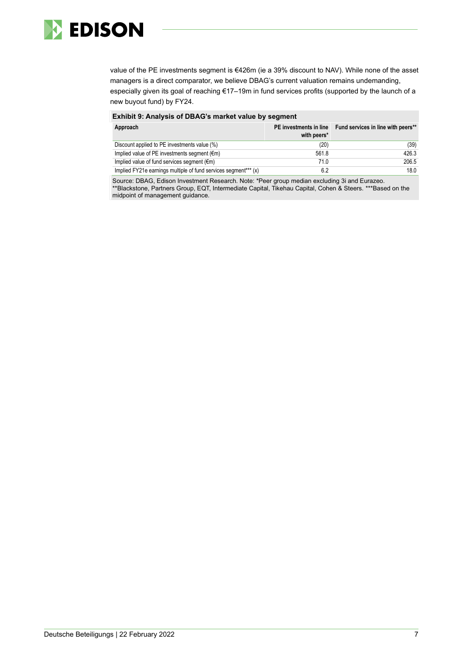

value of the PE investments segment is €426m (ie a 39% discount to NAV). While none of the asset managers is a direct comparator, we believe DBAG's current valuation remains undemanding, especially given its goal of reaching €17–19m in fund services profits (supported by the launch of a new buyout fund) by FY24.

| Exhibit 9: Analysis of DBAG's market value by segment           |                                       |                                    |  |  |  |  |  |  |
|-----------------------------------------------------------------|---------------------------------------|------------------------------------|--|--|--|--|--|--|
| Approach                                                        | PE investments in line<br>with peers* | Fund services in line with peers** |  |  |  |  |  |  |
| Discount applied to PE investments value (%)                    | (20)                                  | (39)                               |  |  |  |  |  |  |
| Implied value of PE investments segment ( $\epsilon$ m)         | 561.8                                 | 426.3                              |  |  |  |  |  |  |
| Implied value of fund services segment $(\epsilon m)$           | 71.0                                  | 206.5                              |  |  |  |  |  |  |
| Implied FY21e earnings multiple of fund services segment*** (x) | 6.2                                   | 18.0                               |  |  |  |  |  |  |

Source: DBAG, Edison Investment Research. Note: \*Peer group median excluding 3i and Eurazeo. \*\*Blackstone, Partners Group, EQT, Intermediate Capital, Tikehau Capital, Cohen & Steers. \*\*\*Based on the midpoint of management guidance.